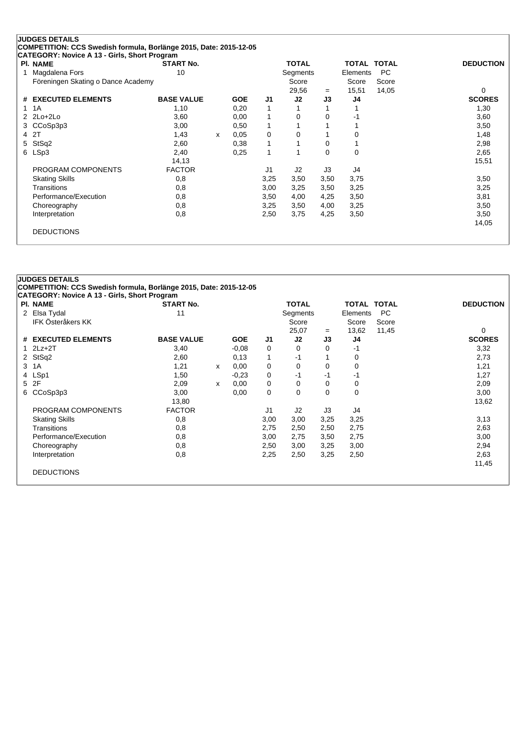| <b>PI. NAME</b>                    | <b>START No.</b>  |   |                  | <b>TOTAL</b> |      | <b>TOTAL TOTAL</b> |       | <b>DEDUCTION</b> |
|------------------------------------|-------------------|---|------------------|--------------|------|--------------------|-------|------------------|
| Magdalena Fors                     | 10                |   |                  | Segments     |      | Elements           | PC.   |                  |
| Föreningen Skating o Dance Academy |                   |   |                  | Score        |      | Score              | Score |                  |
|                                    |                   |   |                  | 29,56        | $=$  | 15,51              | 14,05 | 0                |
| # EXECUTED ELEMENTS                | <b>BASE VALUE</b> |   | <b>GOE</b><br>J1 | J2           | J3   | J4                 |       | <b>SCORES</b>    |
| 1A                                 | 1,10              |   | 0,20<br>1        |              |      |                    |       | 1,30             |
| $2$ $2$ $Lo+2$ $Lo+2$              | 3,60              |   | 0,00<br>1        | 0            | 0    | -1                 |       | 3,60             |
| 3 CCoSp3p3                         | 3,00              |   | 1<br>0,50        |              |      |                    |       | 3,50             |
| 2T<br>4                            | 1,43              | x | 0,05<br>0        | 0            |      | 0                  |       | 1,48             |
| 5 StSq2                            | 2,60              |   | 0,38<br>1        |              | 0    |                    |       | 2,98             |
| 6 LSp3                             | 2,40              |   | 1<br>0,25        |              | 0    | $\Omega$           |       | 2,65             |
|                                    | 14,13             |   |                  |              |      |                    |       | 15,51            |
| PROGRAM COMPONENTS                 | <b>FACTOR</b>     |   | J1               | J2           | J3   | J4                 |       |                  |
| <b>Skating Skills</b>              | 0,8               |   | 3,25             | 3,50         | 3,50 | 3,75               |       | 3,50             |
| Transitions                        | 0,8               |   | 3,00             | 3,25         | 3,50 | 3,25               |       | 3,25             |
| Performance/Execution              | 0,8               |   | 3,50             | 4,00         | 4,25 | 3,50               |       | 3,81             |
| Choreography                       | 0,8               |   | 3,25             | 3,50         | 4,00 | 3,25               |       | 3,50             |
| Interpretation                     | 0,8               |   | 2,50             | 3,75         | 4,25 | 3,50               |       | 3,50             |
|                                    |                   |   |                  |              |      |                    |       | 14,05            |

| PI. NAME                 | <b>START No.</b>  |   |            |      | <b>TOTAL</b> |      | TOTAL    | <b>TOTAL</b> | <b>DEDUCTION</b> |
|--------------------------|-------------------|---|------------|------|--------------|------|----------|--------------|------------------|
| 2 Elsa Tydal             | 11                |   |            |      | Segments     |      | Elements | PC.          |                  |
| <b>IFK Österåkers KK</b> |                   |   |            |      | Score        |      | Score    | Score        |                  |
|                          |                   |   |            |      | 25,07        | $=$  | 13,62    | 11,45        | 0                |
| # EXECUTED ELEMENTS      | <b>BASE VALUE</b> |   | <b>GOE</b> | J1   | J2           | J3   | J4       |              | <b>SCORES</b>    |
| $1$ $2Lz+2T$             | 3,40              |   | $-0.08$    | 0    | 0            | 0    | -1       |              | 3,32             |
| 2 StSq2                  | 2,60              |   | 0,13       | 1    | -1           |      | 0        |              | 2,73             |
| 3 1A                     | 1,21              | x | 0,00       | 0    | 0            | 0    | 0        |              | 1,21             |
| 4 LSp1                   | 1,50              |   | $-0.23$    | 0    | -1           | -1   | -1       |              | 1,27             |
| 5 2F                     | 2,09              | x | 0,00       | 0    | 0            | 0    | 0        |              | 2,09             |
| 6 CCoSp3p3               | 3,00              |   | 0,00       | 0    | 0            | 0    | 0        |              | 3,00             |
|                          | 13,80             |   |            |      |              |      |          |              | 13,62            |
| PROGRAM COMPONENTS       | <b>FACTOR</b>     |   |            | J1   | J2           | J3   | J4       |              |                  |
| <b>Skating Skills</b>    | 0,8               |   |            | 3,00 | 3,00         | 3,25 | 3,25     |              | 3,13             |
| Transitions              | 0,8               |   |            | 2,75 | 2,50         | 2,50 | 2,75     |              | 2,63             |
| Performance/Execution    | 0,8               |   |            | 3,00 | 2,75         | 3,50 | 2,75     |              | 3,00             |
| Choreography             | 0,8               |   |            | 2,50 | 3,00         | 3,25 | 3,00     |              | 2,94             |
| Interpretation           | 0,8               |   |            | 2,25 | 2,50         | 3,25 | 2,50     |              | 2,63             |
|                          |                   |   |            |      |              |      |          |              | 11,45            |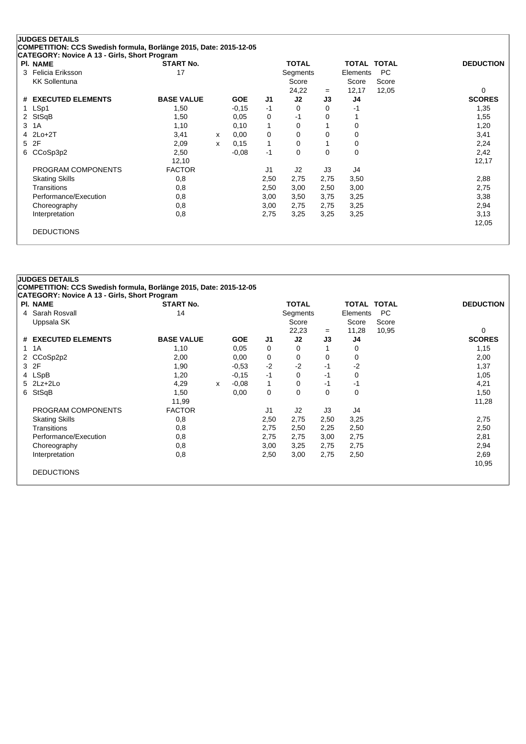| <b>PI. NAME</b>       | <b>START No.</b>  |   |            |                | <b>TOTAL</b>   |          | <b>TOTAL</b> | <b>TOTAL</b> | <b>DEDUCTION</b> |
|-----------------------|-------------------|---|------------|----------------|----------------|----------|--------------|--------------|------------------|
| 3 Felicia Eriksson    | 17                |   |            |                | Segments       |          | Elements     | <b>PC</b>    |                  |
| <b>KK Sollentuna</b>  |                   |   |            |                | Score          |          | Score        | Score        |                  |
|                       |                   |   |            |                | 24,22          | $=$      | 12,17        | 12,05        | 0                |
| # EXECUTED ELEMENTS   | <b>BASE VALUE</b> |   | <b>GOE</b> | J1             | J2             | J3       | J4           |              | <b>SCORES</b>    |
| LSp1<br>1.            | 1,50              |   | $-0,15$    | $-1$           | 0              | 0        | -1           |              | 1,35             |
| 2 StSqB               | 1,50              |   | 0,05       | 0              | -1             | 0        |              |              | 1,55             |
| 3 1A                  | 1,10              |   | 0,10       | 1              | 0              |          | 0            |              | 1,20             |
| $2Lo+2T$<br>4         | 3,41              | x | 0,00       | 0              | 0              | $\Omega$ | 0            |              | 3,41             |
| 2F<br>5               | 2,09              | x | 0,15       | 1              | $\Omega$       |          | 0            |              | 2,24             |
| CCoSp3p2<br>6         | 2,50              |   | $-0.08$    | $-1$           | 0              | $\Omega$ | 0            |              | 2,42             |
|                       | 12,10             |   |            |                |                |          |              |              | 12,17            |
| PROGRAM COMPONENTS    | <b>FACTOR</b>     |   |            | J <sub>1</sub> | J <sub>2</sub> | J3       | J4           |              |                  |
| <b>Skating Skills</b> | 0,8               |   |            | 2,50           | 2,75           | 2,75     | 3,50         |              | 2,88             |
| Transitions           | 0,8               |   |            | 2,50           | 3,00           | 2,50     | 3,00         |              | 2,75             |
| Performance/Execution | 0,8               |   |            | 3,00           | 3,50           | 3,75     | 3,25         |              | 3,38             |
| Choreography          | 0,8               |   |            | 3,00           | 2,75           | 2,75     | 3,25         |              | 2,94             |
| Interpretation        | 0,8               |   |            | 2,75           | 3,25           | 3,25     | 3,25         |              | 3,13             |
|                       |                   |   |            |                |                |          |              |              | 12,05            |

| PI. NAME                      | <b>START No.</b>  |   |            |             | <b>TOTAL</b>   |      | TOTAL TOTAL |       | <b>DEDUCTION</b> |
|-------------------------------|-------------------|---|------------|-------------|----------------|------|-------------|-------|------------------|
| Sarah Rosvall<br>4            | 14                |   |            |             | Segments       |      | Elements    | PC.   |                  |
| Uppsala SK                    |                   |   |            |             | Score          |      | Score       | Score |                  |
|                               |                   |   |            |             | 22,23          | $=$  | 11,28       | 10,95 | 0                |
| <b>EXECUTED ELEMENTS</b><br># | <b>BASE VALUE</b> |   | <b>GOE</b> | J1          | J2             | J3   | J4          |       | <b>SCORES</b>    |
| 1A<br>1                       | 1,10              |   | 0.05       | 0           | 0              |      | 0           |       | 1,15             |
| CCoSp2p2                      | 2,00              |   | 0,00       | 0           | 0              | 0    | 0           |       | 2,00             |
| 2F<br>3                       | 1,90              |   | $-0,53$    | $-2$        | $-2$           | $-1$ | $-2$        |       | 1,37             |
| 4 LSpB                        | 1,20              |   | $-0,15$    | $-1$        | $\Omega$       | $-1$ | 0           |       | 1,05             |
| $5$ 2Lz+2Lo                   | 4,29              | X | $-0,08$    | 1           | 0              | -1   | -1          |       | 4,21             |
| StSqB<br>6                    | 1,50              |   | 0,00       | $\mathbf 0$ | $\Omega$       | 0    | 0           |       | 1,50             |
|                               | 11,99             |   |            |             |                |      |             |       | 11,28            |
| PROGRAM COMPONENTS            | <b>FACTOR</b>     |   |            | J1          | J <sub>2</sub> | J3   | J4          |       |                  |
| <b>Skating Skills</b>         | 0,8               |   |            | 2,50        | 2,75           | 2,50 | 3,25        |       | 2,75             |
| Transitions                   | 0,8               |   |            | 2,75        | 2,50           | 2,25 | 2,50        |       | 2,50             |
| Performance/Execution         | 0,8               |   |            | 2,75        | 2,75           | 3,00 | 2,75        |       | 2,81             |
| Choreography                  | 0,8               |   |            | 3,00        | 3,25           | 2,75 | 2,75        |       | 2,94             |
| Interpretation                | 0,8               |   |            | 2,50        | 3,00           | 2,75 | 2,50        |       | 2,69             |
|                               |                   |   |            |             |                |      |             |       | 10,95            |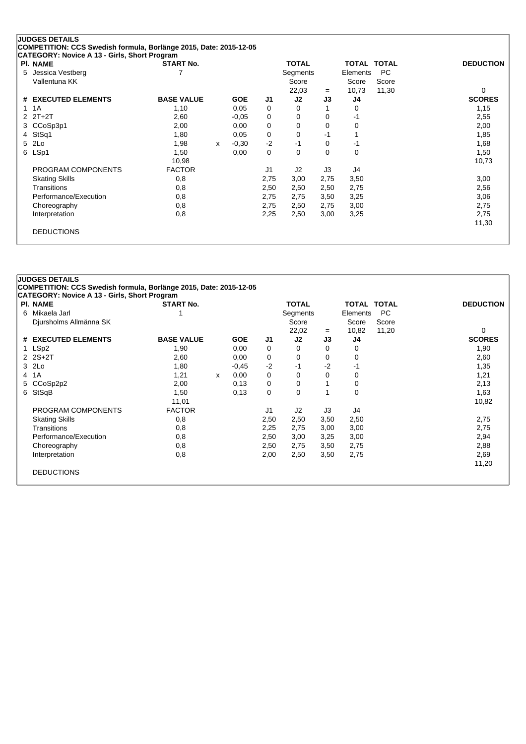| <b>PI. NAME</b>       | <b>START No.</b>  |   |            |                | <b>TOTAL</b>   |          | TOTAL    | <b>TOTAL</b> | <b>DEDUCTION</b> |
|-----------------------|-------------------|---|------------|----------------|----------------|----------|----------|--------------|------------------|
| Jessica Vestberg<br>5 |                   |   |            |                | Segments       |          | Elements | PC.          |                  |
| Vallentuna KK         |                   |   |            |                | Score          |          | Score    | Score        |                  |
|                       |                   |   |            |                | 22,03          | $=$      | 10,73    | 11,30        | 0                |
| # EXECUTED ELEMENTS   | <b>BASE VALUE</b> |   | <b>GOE</b> | J <sub>1</sub> | J2             | J3       | J4       |              | <b>SCORES</b>    |
| 1A<br>1               | 1,10              |   | 0,05       | 0              | 0              |          | 0        |              | 1,15             |
| $2$ $2T+2T$           | 2,60              |   | $-0,05$    | 0              | 0              | 0        | -1       |              | 2,55             |
| 3 CCoSp3p1            | 2,00              |   | 0,00       | 0              | 0              | 0        | 0        |              | 2,00             |
| StSq1<br>4            | 1,80              |   | 0,05       | 0              | 0              | $-1$     |          |              | 1,85             |
| 2Lo<br>5.             | 1,98              | x | $-0,30$    | $-2$           | -1             | 0        | -1       |              | 1,68             |
| LSp1<br>6             | 1,50              |   | 0,00       | 0              | $\Omega$       | $\Omega$ | 0        |              | 1,50             |
|                       | 10,98             |   |            |                |                |          |          |              | 10,73            |
| PROGRAM COMPONENTS    | <b>FACTOR</b>     |   |            | J <sub>1</sub> | J <sub>2</sub> | J3       | J4       |              |                  |
| <b>Skating Skills</b> | 0,8               |   |            | 2,75           | 3,00           | 2,75     | 3,50     |              | 3,00             |
| Transitions           | 0,8               |   |            | 2,50           | 2,50           | 2,50     | 2,75     |              | 2,56             |
| Performance/Execution | 0,8               |   |            | 2,75           | 2,75           | 3,50     | 3,25     |              | 3,06             |
| Choreography          | 0,8               |   |            | 2,75           | 2,50           | 2,75     | 3,00     |              | 2,75             |
| Interpretation        | 0,8               |   |            | 2,25           | 2,50           | 3,00     | 3,25     |              | 2,75             |
|                       |                   |   |            |                |                |          |          |              | 11,30            |

| <b>PI. NAME</b>        | <b>START No.</b>  |   |            |                | <b>TOTAL</b> |          | <b>TOTAL TOTAL</b> |           | <b>DEDUCTION</b> |
|------------------------|-------------------|---|------------|----------------|--------------|----------|--------------------|-----------|------------------|
| Mikaela Jarl<br>6      |                   |   |            |                | Segments     |          | Elements           | <b>PC</b> |                  |
| Djursholms Allmänna SK |                   |   |            |                | Score        |          | Score              | Score     |                  |
|                        |                   |   |            |                | 22,02        | $=$      | 10,82              | 11,20     | 0                |
| # EXECUTED ELEMENTS    | <b>BASE VALUE</b> |   | <b>GOE</b> | J <sub>1</sub> | J2           | J3       | J4                 |           | <b>SCORES</b>    |
| 1 LSp2                 | 1,90              |   | 0,00       | 0              | $\Omega$     | $\Omega$ | 0                  |           | 1,90             |
| 2 2S+2T                | 2,60              |   | 0,00       | 0              | 0            | 0        | 0                  |           | 2,60             |
| 2Lo<br>3               | 1,80              |   | $-0,45$    | $-2$           | -1           | $-2$     | -1                 |           | 1,35             |
| 4 1A                   | 1,21              | x | 0,00       | 0              | 0            | 0        | 0                  |           | 1,21             |
| CCoSp2p2<br>5          | 2,00              |   | 0,13       | 0              | 0            |          | 0                  |           | 2,13             |
| 6 StSqB                | 1,50              |   | 0,13       | 0              | 0            |          | 0                  |           | 1,63             |
|                        | 11,01             |   |            |                |              |          |                    |           | 10,82            |
| PROGRAM COMPONENTS     | <b>FACTOR</b>     |   |            | J <sub>1</sub> | J2           | J3       | J4                 |           |                  |
| <b>Skating Skills</b>  | 0,8               |   |            | 2,50           | 2,50         | 3,50     | 2,50               |           | 2,75             |
| Transitions            | 0,8               |   |            | 2,25           | 2,75         | 3,00     | 3,00               |           | 2,75             |
| Performance/Execution  | 0,8               |   |            | 2,50           | 3,00         | 3,25     | 3,00               |           | 2,94             |
| Choreography           | 0,8               |   |            | 2,50           | 2,75         | 3,50     | 2,75               |           | 2,88             |
| Interpretation         | 0,8               |   |            | 2,00           | 2,50         | 3,50     | 2,75               |           | 2,69             |
|                        |                   |   |            |                |              |          |                    |           | 11,20            |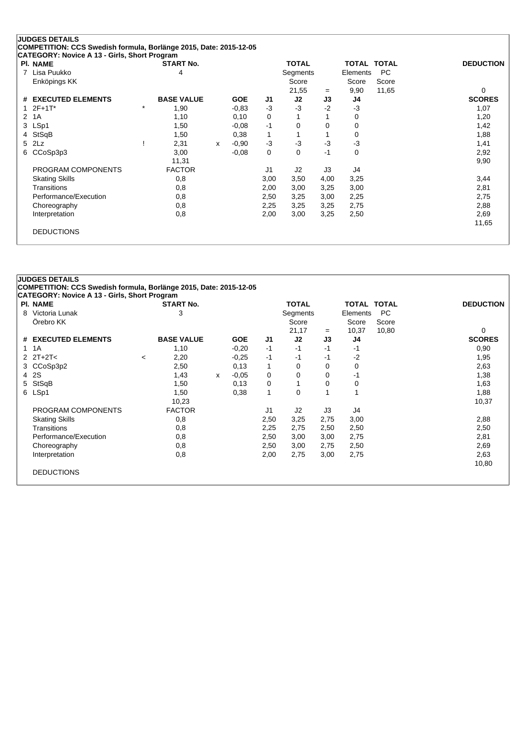|                | <b>JUDGES DETAILS</b>                                             |         |                   |              |            |                |                |      |                    |           |                  |
|----------------|-------------------------------------------------------------------|---------|-------------------|--------------|------------|----------------|----------------|------|--------------------|-----------|------------------|
|                | COMPETITION: CCS Swedish formula, Borlänge 2015, Date: 2015-12-05 |         |                   |              |            |                |                |      |                    |           |                  |
|                | CATEGORY: Novice A 13 - Girls, Short Program                      |         |                   |              |            |                |                |      |                    |           |                  |
|                | <b>PI. NAME</b>                                                   |         | <b>START No.</b>  |              |            |                | <b>TOTAL</b>   |      | <b>TOTAL TOTAL</b> |           | <b>DEDUCTION</b> |
| $\overline{7}$ | Lisa Puukko                                                       |         | 4                 |              |            |                | Segments       |      | Elements           | <b>PC</b> |                  |
|                | Enköpings KK                                                      |         |                   |              |            |                | Score          |      | Score              | Score     |                  |
|                |                                                                   |         |                   |              |            |                | 21,55          | $=$  | 9,90               | 11,65     | 0                |
|                | # EXECUTED ELEMENTS                                               |         | <b>BASE VALUE</b> |              | <b>GOE</b> | J <sub>1</sub> | J2             | J3   | J4                 |           | <b>SCORES</b>    |
|                | $2F+1T^*$                                                         | $\star$ | 1,90              |              | $-0.83$    | $-3$           | $-3$           | $-2$ | $-3$               |           | 1,07             |
| 2              | 1A                                                                |         | 1,10              |              | 0,10       | 0              |                |      | 0                  |           | 1,20             |
| 3              | LSp1                                                              |         | 1,50              |              | $-0.08$    | $-1$           | 0              | 0    | 0                  |           | 1,42             |
| 4              | StSqB                                                             |         | 1,50              |              | 0,38       | 1              |                |      | 0                  |           | 1,88             |
| 5.             | 2Lz                                                               |         | 2,31              | $\mathsf{x}$ | $-0.90$    | $-3$           | $-3$           | -3   | $-3$               |           | 1,41             |
| 6              | CCoSp3p3                                                          |         | 3,00              |              | $-0.08$    | 0              | $\Omega$       | $-1$ | 0                  |           | 2,92             |
|                |                                                                   |         | 11,31             |              |            |                |                |      |                    |           | 9,90             |
|                | PROGRAM COMPONENTS                                                |         | <b>FACTOR</b>     |              |            | J <sub>1</sub> | J <sub>2</sub> | J3   | J4                 |           |                  |
|                | <b>Skating Skills</b>                                             |         | 0,8               |              |            | 3,00           | 3,50           | 4,00 | 3,25               |           | 3,44             |
|                | Transitions                                                       |         | 0,8               |              |            | 2,00           | 3,00           | 3,25 | 3,00               |           | 2,81             |
|                | Performance/Execution                                             |         | 0,8               |              |            | 2,50           | 3,25           | 3,00 | 2,25               |           | 2,75             |
|                | Choreography                                                      |         | 0,8               |              |            | 2,25           | 3,25           | 3,25 | 2,75               |           | 2,88             |
|                | Interpretation                                                    |         | 0,8               |              |            | 2,00           | 3,00           | 3,25 | 2,50               |           | 2,69             |
|                |                                                                   |         |                   |              |            |                |                |      |                    |           | 11,65            |
|                | <b>DEDUCTIONS</b>                                                 |         |                   |              |            |                |                |      |                    |           |                  |
|                |                                                                   |         |                   |              |            |                |                |      |                    |           |                  |

| <b>PI. NAME</b>               | <b>START No.</b>  |              |            |                | <b>TOTAL</b> |      | <b>TOTAL TOTAL</b> |           | <b>DEDUCTION</b> |
|-------------------------------|-------------------|--------------|------------|----------------|--------------|------|--------------------|-----------|------------------|
| Victoria Lunak<br>8           | 3                 |              |            |                | Segments     |      | Elements           | <b>PC</b> |                  |
| Orebro KK                     |                   |              |            |                | Score        |      | Score              | Score     |                  |
|                               |                   |              |            |                | 21,17        | $=$  | 10,37              | 10,80     | $\Omega$         |
| <b>EXECUTED ELEMENTS</b><br># | <b>BASE VALUE</b> |              | <b>GOE</b> | J1             | J2           | J3   | J4                 |           | <b>SCORES</b>    |
| 1A                            | 1,10              |              | $-0,20$    | $-1$           | $-1$         | $-1$ | -1                 |           | 0,90             |
| $2 \t2T+2T <$                 | 2,20<br>$\prec$   |              | $-0,25$    | $-1$           | $-1$         | $-1$ | $-2$               |           | 1,95             |
| 3 CCoSp3p2                    | 2,50              |              | 0,13       | 1              | 0            | 0    | 0                  |           | 2,63             |
| 2S<br>4                       | 1,43              | $\mathsf{x}$ | $-0.05$    | 0              | 0            | 0    | -1                 |           | 1,38             |
| StSqB<br>5                    | 1,50              |              | 0,13       | 0              |              | 0    | 0                  |           | 1,63             |
| LSp1<br>6                     | 1,50              |              | 0,38       | 1              | 0            |      |                    |           | 1,88             |
|                               | 10,23             |              |            |                |              |      |                    |           | 10,37            |
| PROGRAM COMPONENTS            | <b>FACTOR</b>     |              |            | J <sub>1</sub> | J2           | J3   | J4                 |           |                  |
| <b>Skating Skills</b>         | 0,8               |              |            | 2,50           | 3,25         | 2,75 | 3,00               |           | 2,88             |
| Transitions                   | 0,8               |              |            | 2,25           | 2,75         | 2,50 | 2,50               |           | 2,50             |
| Performance/Execution         | 0,8               |              |            | 2,50           | 3,00         | 3,00 | 2,75               |           | 2,81             |
| Choreography                  | 0,8               |              |            | 2,50           | 3,00         | 2,75 | 2,50               |           | 2,69             |
| Interpretation                | 0,8               |              |            | 2,00           | 2,75         | 3,00 | 2,75               |           | 2,63             |
|                               |                   |              |            |                |              |      |                    |           | 10,80            |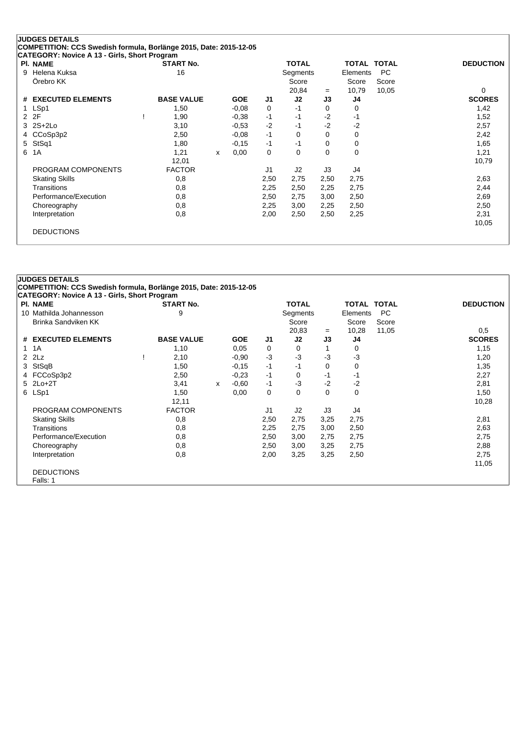| <b>PI. NAME</b>       | <b>START No.</b>  |   |            |      | <b>TOTAL</b> |          | <b>TOTAL TOTAL</b> |       | <b>DEDUCTION</b> |
|-----------------------|-------------------|---|------------|------|--------------|----------|--------------------|-------|------------------|
| Helena Kuksa<br>9     | 16                |   |            |      | Segments     |          | Elements           | PC.   |                  |
| Orebro KK             |                   |   |            |      | Score        |          | Score              | Score |                  |
|                       |                   |   |            |      | 20,84        | $=$      | 10,79              | 10,05 | 0                |
| # EXECUTED ELEMENTS   | <b>BASE VALUE</b> |   | <b>GOE</b> | J1   | J2           | J3       | J4                 |       | <b>SCORES</b>    |
| LSp1                  | 1,50              |   | $-0,08$    | 0    | -1           | 0        | 0                  |       | 1,42             |
| 2F<br>2               | 1,90              |   | $-0,38$    | $-1$ | -1           | $-2$     | -1                 |       | 1,52             |
| $2S+2Lo$<br>3         | 3,10              |   | $-0,53$    | $-2$ | -1           | $-2$     | $-2$               |       | 2,57             |
| CCoSp3p2              | 2,50              |   | $-0.08$    | $-1$ | 0            | 0        | 0                  |       | 2,42             |
| StSq1<br>5            | 1,80              |   | $-0,15$    | $-1$ | -1           | 0        | 0                  |       | 1,65             |
| 1A<br>6               | 1,21              | X | 0,00       | 0    | $\Omega$     | $\Omega$ | 0                  |       | 1,21             |
|                       | 12,01             |   |            |      |              |          |                    |       | 10,79            |
| PROGRAM COMPONENTS    | <b>FACTOR</b>     |   |            | J1   | J2           | J3       | J4                 |       |                  |
| <b>Skating Skills</b> | 0,8               |   |            | 2,50 | 2,75         | 2,50     | 2,75               |       | 2,63             |
| Transitions           | 0,8               |   |            | 2,25 | 2,50         | 2,25     | 2,75               |       | 2,44             |
| Performance/Execution | 0,8               |   |            | 2,50 | 2,75         | 3,00     | 2,50               |       | 2,69             |
| Choreography          | 0,8               |   |            | 2,25 | 3,00         | 2,25     | 2,50               |       | 2,50             |
| Interpretation        | 0,8               |   |            | 2,00 | 2,50         | 2,50     | 2,25               |       | 2,31             |
|                       |                   |   |            |      |              |          |                    |       | 10,05            |

|              | <b>JUDGES DETAILS</b>                                             |                   |   |            |                |              |          |                    |           |                  |
|--------------|-------------------------------------------------------------------|-------------------|---|------------|----------------|--------------|----------|--------------------|-----------|------------------|
|              | COMPETITION: CCS Swedish formula, Borlänge 2015, Date: 2015-12-05 |                   |   |            |                |              |          |                    |           |                  |
|              | <b>CATEGORY: Novice A 13 - Girls, Short Program</b>               |                   |   |            |                |              |          |                    |           |                  |
|              | <b>PI. NAME</b>                                                   | <b>START No.</b>  |   |            |                | <b>TOTAL</b> |          | <b>TOTAL TOTAL</b> |           | <b>DEDUCTION</b> |
|              | 10 Mathilda Johannesson                                           | 9                 |   |            |                | Segments     |          | Elements           | <b>PC</b> |                  |
|              | <b>Brinka Sandviken KK</b>                                        |                   |   |            |                | Score        |          | Score              | Score     |                  |
|              |                                                                   |                   |   |            |                | 20,83        | $=$      | 10,28              | 11,05     | 0,5              |
|              | # EXECUTED ELEMENTS                                               | <b>BASE VALUE</b> |   | <b>GOE</b> | J1             | J2           | J3       | J4                 |           | <b>SCORES</b>    |
|              | 1 1 A                                                             | 1,10              |   | 0.05       | 0              | 0            |          | 0                  |           | 1,15             |
| $\mathbf{2}$ | 2Lz                                                               | 2,10              |   | $-0.90$    | $-3$           | $-3$         | $-3$     | $-3$               |           | 1,20             |
|              | 3 StSqB                                                           | 1,50              |   | $-0,15$    | $-1$           | -1           | 0        | 0                  |           | 1,35             |
|              | 4 FCCoSp3p2                                                       | 2,50              |   | $-0.23$    | $-1$           | 0            | -1       | -1                 |           | 2,27             |
|              | $5$ 2Lo+2T                                                        | 3,41              | x | $-0.60$    | $-1$           | $-3$         | $-2$     | $-2$               |           | 2,81             |
|              | 6 LSp1                                                            | 1,50              |   | 0,00       | 0              | 0            | $\Omega$ | 0                  |           | 1,50             |
|              |                                                                   | 12,11             |   |            |                |              |          |                    |           | 10,28            |
|              | PROGRAM COMPONENTS                                                | <b>FACTOR</b>     |   |            | J <sub>1</sub> | J2           | J3       | J4                 |           |                  |
|              | <b>Skating Skills</b>                                             | 0,8               |   |            | 2,50           | 2,75         | 3,25     | 2,75               |           | 2,81             |
|              | Transitions                                                       | 0,8               |   |            | 2,25           | 2,75         | 3,00     | 2,50               |           | 2,63             |
|              | Performance/Execution                                             | 0,8               |   |            | 2,50           | 3,00         | 2,75     | 2,75               |           | 2,75             |
|              | Choreography                                                      | 0,8               |   |            | 2,50           | 3,00         | 3,25     | 2,75               |           | 2,88             |
|              | Interpretation                                                    | 0,8               |   |            | 2,00           | 3,25         | 3,25     | 2,50               |           | 2,75             |
|              |                                                                   |                   |   |            |                |              |          |                    |           | 11,05            |
|              | <b>DEDUCTIONS</b>                                                 |                   |   |            |                |              |          |                    |           |                  |
|              | Falls: 1                                                          |                   |   |            |                |              |          |                    |           |                  |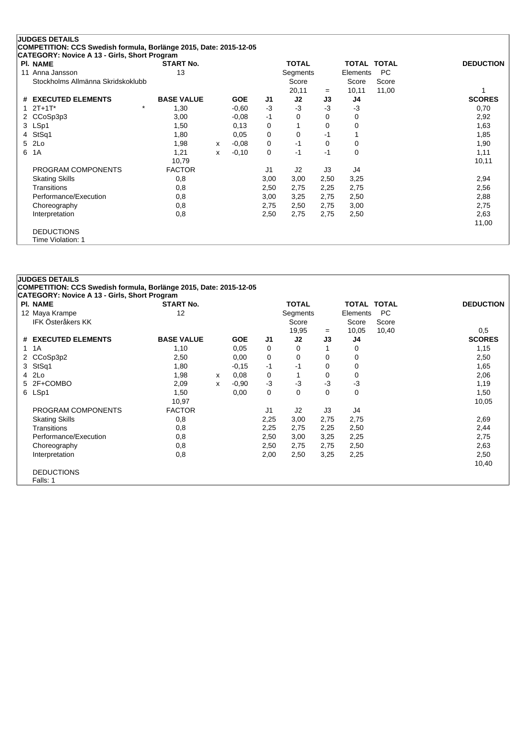|    | <b>JUDGES DETAILS</b>                                             |                   |   |            |                |                |          |             |             |                  |
|----|-------------------------------------------------------------------|-------------------|---|------------|----------------|----------------|----------|-------------|-------------|------------------|
|    | COMPETITION: CCS Swedish formula, Borlänge 2015, Date: 2015-12-05 |                   |   |            |                |                |          |             |             |                  |
|    | CATEGORY: Novice A 13 - Girls, Short Program                      |                   |   |            |                |                |          |             |             |                  |
|    | <b>PI. NAME</b>                                                   | <b>START No.</b>  |   |            |                | <b>TOTAL</b>   |          |             | TOTAL TOTAL | <b>DEDUCTION</b> |
|    | 11 Anna Jansson                                                   | 13                |   |            |                | Segments       |          | Elements    | <b>PC</b>   |                  |
|    | Stockholms Allmänna Skridskoklubb                                 |                   |   |            |                | Score          |          | Score       | Score       |                  |
|    |                                                                   |                   |   |            |                | 20,11          | $=$      | 10,11       | 11,00       |                  |
|    | # EXECUTED ELEMENTS                                               | <b>BASE VALUE</b> |   | <b>GOE</b> | J1             | J2             | J3       | J4          |             | <b>SCORES</b>    |
|    | $2T + 1T^*$                                                       | $\star$<br>1,30   |   | $-0.60$    | $-3$           | $-3$           | $-3$     | $-3$        |             | 0,70             |
|    | 2 CCoSp3p3                                                        | 3,00              |   | $-0.08$    | $-1$           | 0              | $\Omega$ | 0           |             | 2,92             |
|    | 3 LSp1                                                            | 1,50              |   | 0,13       | 0              |                | $\Omega$ | $\Omega$    |             | 1,63             |
| 4  | StSq1                                                             | 1,80              |   | 0,05       | 0              | $\Omega$       | $-1$     |             |             | 1,85             |
| 5. | 2Lo                                                               | 1,98              | x | $-0.08$    | 0              | $-1$           | $\Omega$ | 0           |             | 1,90             |
| 6  | 1A                                                                | 1,21              | x | $-0,10$    | 0              | $-1$           | $-1$     | $\mathbf 0$ |             | 1,11             |
|    |                                                                   | 10,79             |   |            |                |                |          |             |             | 10,11            |
|    | PROGRAM COMPONENTS                                                | <b>FACTOR</b>     |   |            | J <sub>1</sub> | J <sub>2</sub> | J3       | J4          |             |                  |
|    | <b>Skating Skills</b>                                             | 0,8               |   |            | 3,00           | 3,00           | 2,50     | 3,25        |             | 2,94             |
|    | Transitions                                                       | 0,8               |   |            | 2,50           | 2,75           | 2,25     | 2,75        |             | 2,56             |
|    | Performance/Execution                                             | 0,8               |   |            | 3,00           | 3,25           | 2,75     | 2,50        |             | 2,88             |
|    | Choreography                                                      | 0,8               |   |            | 2,75           | 2,50           | 2,75     | 3,00        |             | 2,75             |
|    | Interpretation                                                    | 0,8               |   |            | 2,50           | 2,75           | 2,75     | 2,50        |             | 2,63             |
|    |                                                                   |                   |   |            |                |                |          |             |             | 11,00            |
|    | <b>DEDUCTIONS</b>                                                 |                   |   |            |                |                |          |             |             |                  |
|    | Time Violation: 1                                                 |                   |   |            |                |                |          |             |             |                  |

| <b>PI. NAME</b>          | CATEGORY: Novice A 13 - Girls, Short Program<br><b>START No.</b> |   |            |      | <b>TOTAL</b>   |           | <b>TOTAL TOTAL</b> |           | <b>DEDUCTION</b>     |
|--------------------------|------------------------------------------------------------------|---|------------|------|----------------|-----------|--------------------|-----------|----------------------|
| 12 Maya Krampe           | 12                                                               |   |            |      | Segments       |           | Elements           | <b>PC</b> |                      |
| <b>IFK Österåkers KK</b> |                                                                  |   |            |      | Score          |           | Score              | Score     |                      |
| # EXECUTED ELEMENTS      | <b>BASE VALUE</b>                                                |   | <b>GOE</b> | J1   | 19,95<br>J2    | $=$<br>J3 | 10,05<br>J4        | 10,40     | 0,5<br><b>SCORES</b> |
|                          |                                                                  |   |            |      |                |           |                    |           |                      |
| 1 1 A                    | 1,10                                                             |   | 0.05       | 0    | 0              |           | 0                  |           | 1,15                 |
| 2 CCoSp3p2               | 2,50                                                             |   | 0,00       | 0    | 0              | 0         | 0                  |           | 2,50                 |
| 3 StSq1                  | 1,80                                                             |   | $-0.15$    | $-1$ | -1             | 0         | 0                  |           | 1,65                 |
| 4 2Lo                    | 1,98                                                             | x | 0,08       | 0    |                | 0         | 0                  |           | 2,06                 |
| 5 2F+COMBO               | 2,09                                                             | X | $-0.90$    | $-3$ | $-3$           | -3        | $-3$               |           | 1,19                 |
| 6 LSp1                   | 1,50                                                             |   | 0,00       | 0    | 0              | $\Omega$  | 0                  |           | 1,50                 |
|                          | 10,97                                                            |   |            |      |                |           |                    |           | 10,05                |
| PROGRAM COMPONENTS       | <b>FACTOR</b>                                                    |   |            | J1   | J <sub>2</sub> | J3        | J4                 |           |                      |
| <b>Skating Skills</b>    | 0,8                                                              |   |            | 2,25 | 3,00           | 2,75      | 2,75               |           | 2,69                 |
| Transitions              | 0,8                                                              |   |            | 2,25 | 2,75           | 2,25      | 2,50               |           | 2,44                 |
| Performance/Execution    | 0,8                                                              |   |            | 2,50 | 3,00           | 3,25      | 2,25               |           | 2,75                 |
| Choreography             | 0,8                                                              |   |            | 2,50 | 2,75           | 2,75      | 2,50               |           | 2,63                 |
| Interpretation           | 0,8                                                              |   |            | 2,00 | 2,50           | 3,25      | 2,25               |           | 2,50                 |
|                          |                                                                  |   |            |      |                |           |                    |           | 10,40                |
| <b>DEDUCTIONS</b>        |                                                                  |   |            |      |                |           |                    |           |                      |
| Falls: 1                 |                                                                  |   |            |      |                |           |                    |           |                      |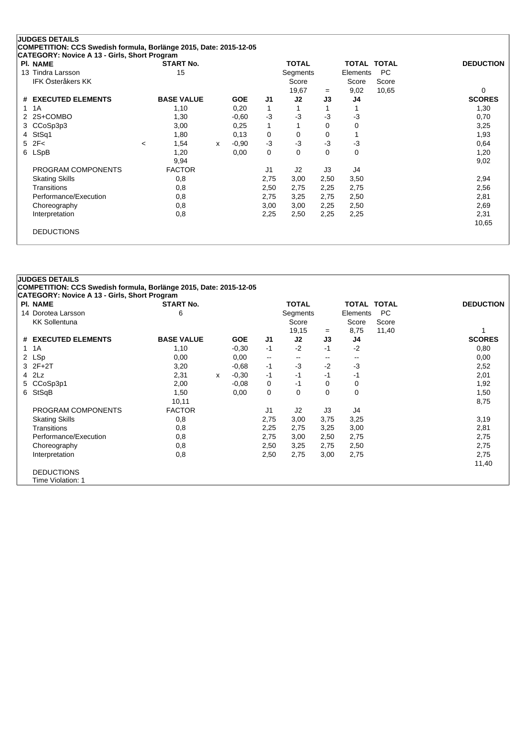| <b>PI. NAME</b>       | <b>START No.</b> |                   |   |            |                | <b>TOTAL</b>   |          |          | <b>TOTAL</b><br><b>TOTAL</b> | <b>DEDUCTION</b> |
|-----------------------|------------------|-------------------|---|------------|----------------|----------------|----------|----------|------------------------------|------------------|
| 13 Tindra Larsson     | 15               |                   |   |            |                | Segments       |          | Elements | <b>PC</b>                    |                  |
| IFK Österåkers KK     |                  |                   |   |            |                | Score          |          | Score    | Score                        |                  |
|                       |                  |                   |   |            |                | 19,67          | $=$      | 9,02     | 10,65                        | 0                |
| # EXECUTED ELEMENTS   |                  | <b>BASE VALUE</b> |   | <b>GOE</b> | J <sub>1</sub> | J2             | J3       | J4       |                              | <b>SCORES</b>    |
| 1A<br>1.              |                  | 1,10              |   | 0,20       | $\mathbf{1}$   |                |          |          |                              | 1,30             |
| 2 2S+COMBO            |                  | 1,30              |   | $-0.60$    | $-3$           | -3             | $-3$     | $-3$     |                              | 0,70             |
| 3 CCoSp3p3            |                  | 3,00              |   | 0,25       | 1              |                | 0        | 0        |                              | 3,25             |
| StSq1<br>4            |                  | 1,80              |   | 0,13       | 0              | 0              | 0        |          |                              | 1,93             |
| 2F<<br>5              | $\,<\,$          | 1,54              | x | $-0.90$    | $-3$           | $-3$           | $-3$     | $-3$     |                              | 0.64             |
| 6 LSpB                |                  | 1,20              |   | 0,00       | 0              | $\Omega$       | $\Omega$ | 0        |                              | 1,20             |
|                       |                  | 9,94              |   |            |                |                |          |          |                              | 9,02             |
| PROGRAM COMPONENTS    |                  | <b>FACTOR</b>     |   |            | J1             | J <sub>2</sub> | J3       | J4       |                              |                  |
| <b>Skating Skills</b> |                  | 0,8               |   |            | 2,75           | 3,00           | 2,50     | 3,50     |                              | 2,94             |
| <b>Transitions</b>    |                  | 0,8               |   |            | 2,50           | 2,75           | 2,25     | 2,75     |                              | 2,56             |
| Performance/Execution |                  | 0,8               |   |            | 2,75           | 3,25           | 2,75     | 2,50     |                              | 2,81             |
| Choreography          |                  | 0,8               |   |            | 3,00           | 3,00           | 2,25     | 2,50     |                              | 2,69             |
| Interpretation        |                  | 0,8               |   |            | 2,25           | 2,50           | 2,25     | 2,25     |                              | 2,31             |
|                       |                  |                   |   |            |                |                |          |          |                              | 10,65            |

| <b>PI. NAME</b>               | <b>START No.</b>  |   |            |                          | <b>TOTAL</b>   |          | TOTAL TOTAL              |       | <b>DEDUCTION</b> |
|-------------------------------|-------------------|---|------------|--------------------------|----------------|----------|--------------------------|-------|------------------|
| 14 Dorotea Larsson            | 6                 |   | Segments   |                          | Elements       | PC       |                          |       |                  |
| <b>KK Sollentuna</b>          |                   |   |            |                          | Score          |          | Score                    | Score |                  |
|                               |                   |   |            |                          | 19,15          | $=$      | 8,75                     | 11,40 |                  |
| <b>EXECUTED ELEMENTS</b><br># | <b>BASE VALUE</b> |   | <b>GOE</b> | J <sub>1</sub>           | J2             | J3       | J4                       |       | <b>SCORES</b>    |
| 1A<br>1                       | 1,10              |   | $-0,30$    | $-1$                     | $-2$           | $-1$     | $-2$                     |       | 0,80             |
| LSp<br>2                      | 0,00              |   | 0,00       | $\overline{\phantom{a}}$ | $\overline{a}$ | $-$      | $\overline{\phantom{a}}$ |       | 0,00             |
| $3$ $2F+2T$                   | 3,20              |   | $-0,68$    | $-1$                     | $-3$           | $-2$     | $-3$                     |       | 2,52             |
| 2Lz<br>4                      | 2,31              | X | $-0,30$    | $-1$                     | $-1$           | $-1$     | -1                       |       | 2,01             |
| CCoSp3p1<br>5                 | 2,00              |   | $-0.08$    | 0                        | $-1$           | 0        | $\mathbf 0$              |       | 1,92             |
| StSqB<br>6                    | 1,50              |   | 0,00       | $\mathbf 0$              | $\Omega$       | $\Omega$ | $\Omega$                 |       | 1,50             |
|                               | 10,11             |   |            |                          |                |          |                          |       | 8,75             |
| PROGRAM COMPONENTS            | <b>FACTOR</b>     |   |            | J <sub>1</sub>           | J2             | J3       | J <sub>4</sub>           |       |                  |
| <b>Skating Skills</b>         | 0,8               |   |            | 2,75                     | 3,00           | 3,75     | 3,25                     |       | 3,19             |
| <b>Transitions</b>            | 0,8               |   |            | 2,25                     | 2,75           | 3,25     | 3,00                     |       | 2,81             |
| Performance/Execution         | 0,8               |   |            | 2,75                     | 3,00           | 2,50     | 2,75                     |       | 2,75             |
| Choreography                  | 0,8               |   |            | 2,50                     | 3,25           | 2,75     | 2,50                     |       | 2,75             |
| Interpretation                | 0,8               |   |            | 2,50                     | 2,75           | 3,00     | 2,75                     |       | 2,75             |
|                               |                   |   |            |                          |                |          |                          |       | 11,40            |